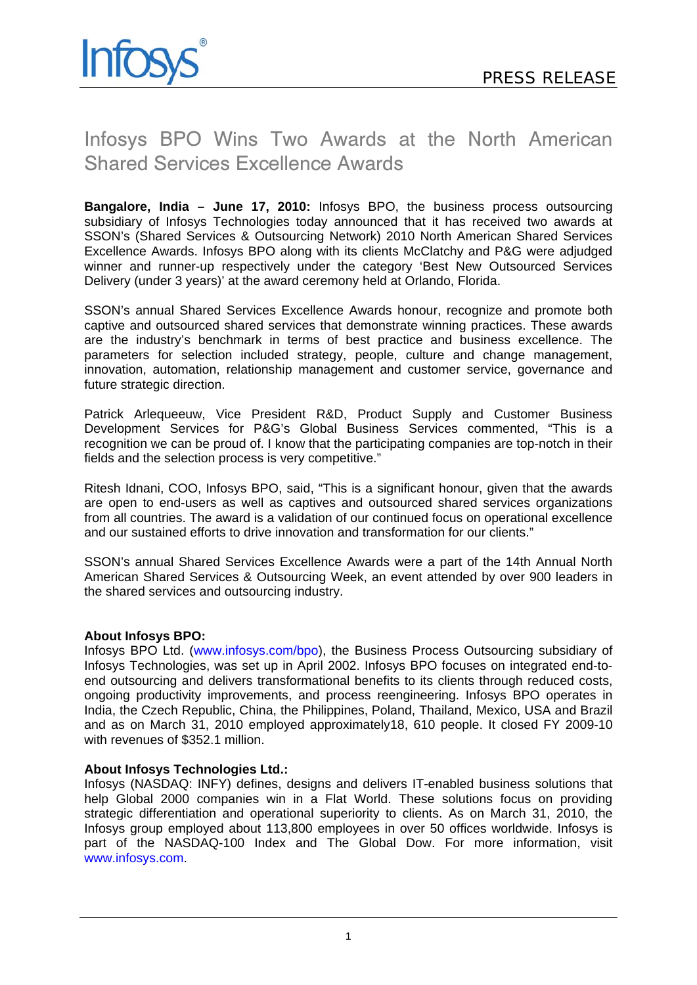

## Infosys BPO Wins Two Awards at the North American Shared Services Excellence Awards

**Bangalore, India – June 17, 2010:** Infosys BPO, the business process outsourcing subsidiary of Infosys Technologies today announced that it has received two awards at SSON's (Shared Services & Outsourcing Network) 2010 North American Shared Services Excellence Awards. Infosys BPO along with its clients McClatchy and P&G were adjudged winner and runner-up respectively under the category 'Best New Outsourced Services Delivery (under 3 years)' at the award ceremony held at Orlando, Florida.

SSON's annual Shared Services Excellence Awards honour, recognize and promote both captive and outsourced shared services that demonstrate winning practices. These awards are the industry's benchmark in terms of best practice and business excellence. The parameters for selection included strategy, people, culture and change management, innovation, automation, relationship management and customer service, governance and future strategic direction.

Patrick Arlequeeuw, Vice President R&D, Product Supply and Customer Business Development Services for P&G's Global Business Services commented, "This is a recognition we can be proud of. I know that the participating companies are top-notch in their fields and the selection process is very competitive."

Ritesh Idnani, COO, Infosys BPO, said, "This is a significant honour, given that the awards are open to end-users as well as captives and outsourced shared services organizations from all countries. The award is a validation of our continued focus on operational excellence and our sustained efforts to drive innovation and transformation for our clients."

SSON's annual Shared Services Excellence Awards were a part of the 14th Annual North American Shared Services & Outsourcing Week, an event attended by over 900 leaders in the shared services and outsourcing industry.

## **About Infosys BPO:**

Infosys BPO Ltd. (www.infosys.com/bpo), the Business Process Outsourcing subsidiary of Infosys Technologies, was set up in April 2002. Infosys BPO focuses on integrated end-toend outsourcing and delivers transformational benefits to its clients through reduced costs, ongoing productivity improvements, and process reengineering. Infosys BPO operates in India, the Czech Republic, China, the Philippines, Poland, Thailand, Mexico, USA and Brazil and as on March 31, 2010 employed approximately18, 610 people. It closed FY 2009-10 with revenues of \$352.1 million.

## **About Infosys Technologies Ltd.:**

Infosys (NASDAQ: INFY) defines, designs and delivers IT-enabled business solutions that help Global 2000 companies win in a Flat World. These solutions focus on providing strategic differentiation and operational superiority to clients. As on March 31, 2010, the Infosys group employed about 113,800 employees in over 50 offices worldwide. Infosys is part of the NASDAQ-100 Index and The Global Dow. For more information, visit www.infosys.com.